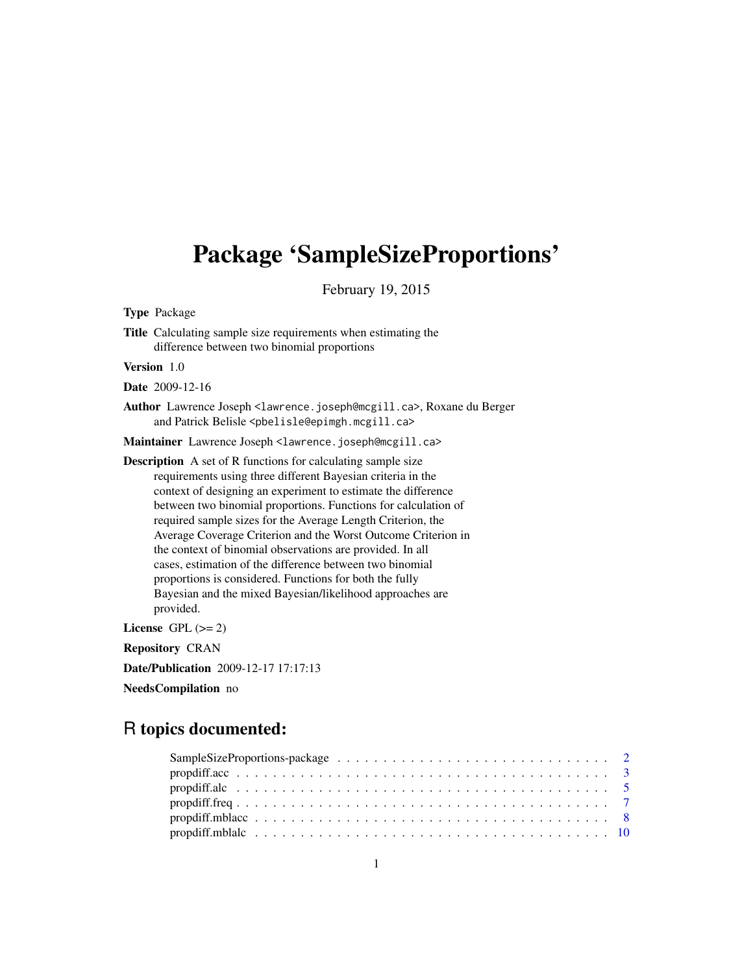# Package 'SampleSizeProportions'

February 19, 2015

Type Package

Title Calculating sample size requirements when estimating the difference between two binomial proportions

Version 1.0

Date 2009-12-16

Author Lawrence Joseph <lawrence.joseph@mcgill.ca>, Roxane du Berger and Patrick Belisle <pbelisle@epimgh.mcgill.ca>

Maintainer Lawrence Joseph <lawrence.joseph@mcgill.ca>

Description A set of R functions for calculating sample size requirements using three different Bayesian criteria in the context of designing an experiment to estimate the difference between two binomial proportions. Functions for calculation of required sample sizes for the Average Length Criterion, the Average Coverage Criterion and the Worst Outcome Criterion in the context of binomial observations are provided. In all cases, estimation of the difference between two binomial proportions is considered. Functions for both the fully Bayesian and the mixed Bayesian/likelihood approaches are provided.

License GPL  $(>= 2)$ 

Repository CRAN

Date/Publication 2009-12-17 17:17:13

NeedsCompilation no

# R topics documented: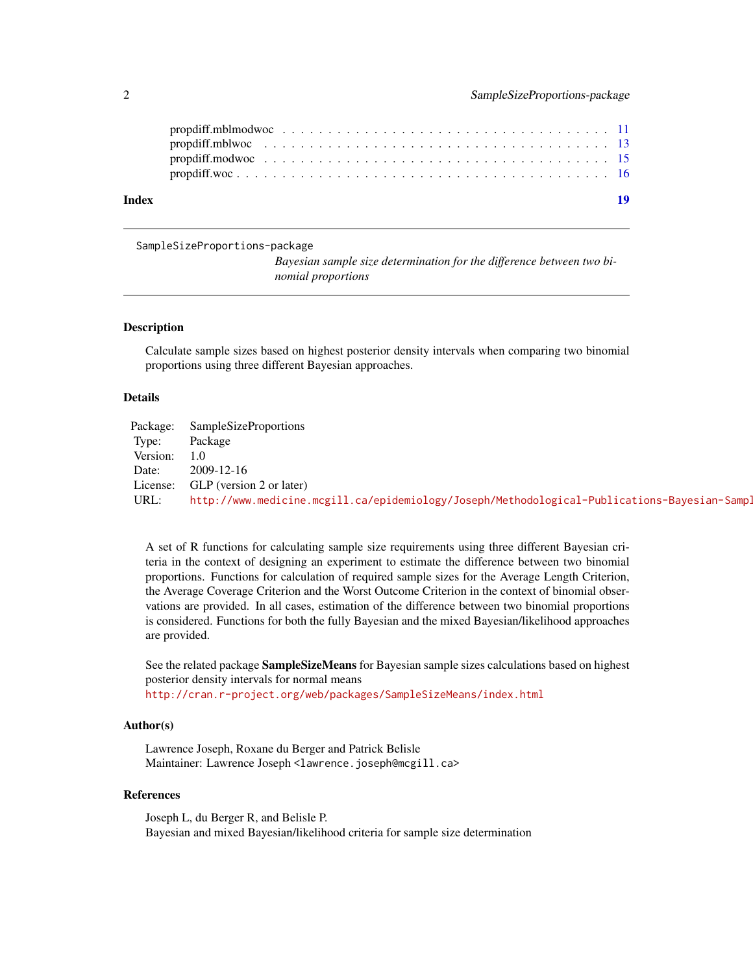<span id="page-1-0"></span>

| Index | -19 |
|-------|-----|
|       |     |
|       |     |

SampleSizeProportions-package

*Bayesian sample size determination for the difference between two binomial proportions*

#### Description

Calculate sample sizes based on highest posterior density intervals when comparing two binomial proportions using three different Bayesian approaches.

# Details

| Package: | <b>SampleSizeProportions</b>                                                                 |
|----------|----------------------------------------------------------------------------------------------|
| Type:    | Package                                                                                      |
| Version: |                                                                                              |
| Date:    | 2009-12-16                                                                                   |
| License: | GLP (version 2 or later)                                                                     |
| URL:     | http://www.medicine.mcgill.ca/epidemiology/Joseph/Methodological-Publications-Bayesian-Sampl |

A set of R functions for calculating sample size requirements using three different Bayesian criteria in the context of designing an experiment to estimate the difference between two binomial proportions. Functions for calculation of required sample sizes for the Average Length Criterion, the Average Coverage Criterion and the Worst Outcome Criterion in the context of binomial observations are provided. In all cases, estimation of the difference between two binomial proportions is considered. Functions for both the fully Bayesian and the mixed Bayesian/likelihood approaches are provided.

See the related package **SampleSizeMeans** for Bayesian sample sizes calculations based on highest posterior density intervals for normal means

<http://cran.r-project.org/web/packages/SampleSizeMeans/index.html>

# Author(s)

Lawrence Joseph, Roxane du Berger and Patrick Belisle Maintainer: Lawrence Joseph <lawrence.joseph@mcgill.ca>

#### References

Joseph L, du Berger R, and Belisle P. Bayesian and mixed Bayesian/likelihood criteria for sample size determination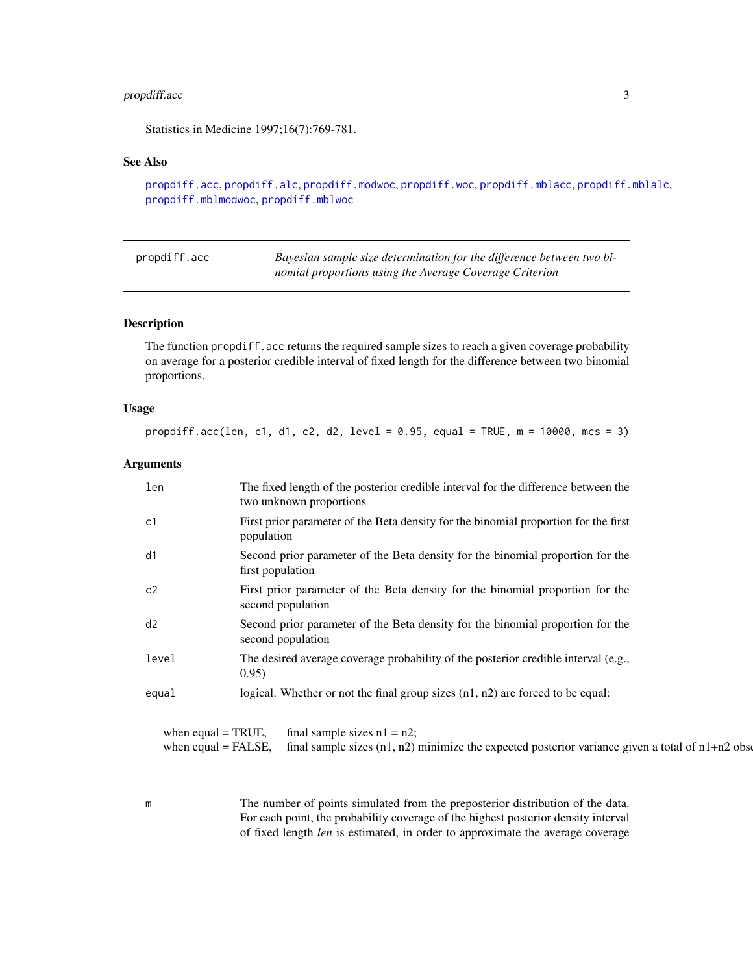# <span id="page-2-0"></span>propdiff.acc 3

Statistics in Medicine 1997;16(7):769-781.

# See Also

```
propdiff.acc, propdiff.alc, propdiff.modwoc, propdiff.woc, propdiff.mblacc, propdiff.mblalc,
propdiff.mblmodwoc, propdiff.mblwoc
```
<span id="page-2-1"></span>

| propdiff.acc | Bayesian sample size determination for the difference between two bi- |
|--------------|-----------------------------------------------------------------------|
|              | nomial proportions using the Average Coverage Criterion               |

# Description

The function propdiff.acc returns the required sample sizes to reach a given coverage probability on average for a posterior credible interval of fixed length for the difference between two binomial proportions.

#### Usage

propdiff.acc(len, c1, d1, c2, d2, level = 0.95, equal = TRUE, m = 10000, mcs = 3)

#### Arguments

| len                                           | The fixed length of the posterior credible interval for the difference between the<br>two unknown proportions                          |
|-----------------------------------------------|----------------------------------------------------------------------------------------------------------------------------------------|
| c1                                            | First prior parameter of the Beta density for the binomial proportion for the first<br>population                                      |
| d1                                            | Second prior parameter of the Beta density for the binomial proportion for the<br>first population                                     |
| c2                                            | First prior parameter of the Beta density for the binomial proportion for the<br>second population                                     |
| d2                                            | Second prior parameter of the Beta density for the binomial proportion for the<br>second population                                    |
| level                                         | The desired average coverage probability of the posterior credible interval (e.g.,<br>0.95)                                            |
| equal                                         | logical. Whether or not the final group sizes $(n1, n2)$ are forced to be equal:                                                       |
| when equal $=$ TRUE,<br>when equal $=$ FALSE, | final sample sizes $n1 = n2$ ;<br>final sample sizes $(n1, n2)$ minimize the expected posterior variance given a total of $n1+n2$ obse |

m The number of points simulated from the preposterior distribution of the data. For each point, the probability coverage of the highest posterior density interval of fixed length *len* is estimated, in order to approximate the average coverage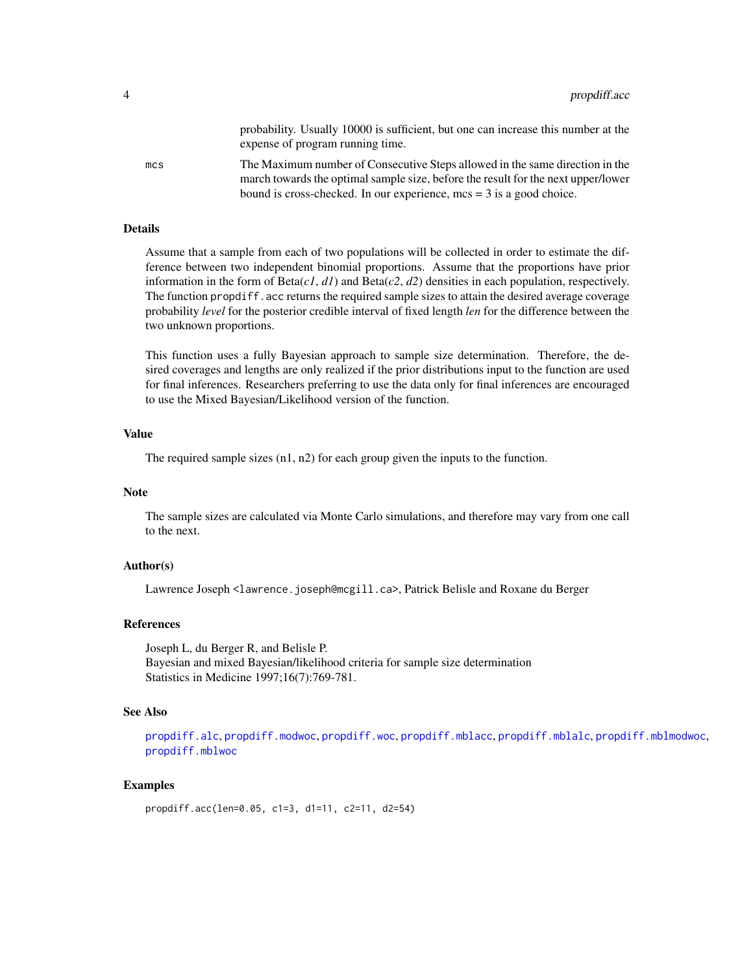probability. Usually 10000 is sufficient, but one can increase this number at the expense of program running time.

<span id="page-3-0"></span>mcs The Maximum number of Consecutive Steps allowed in the same direction in the march towards the optimal sample size, before the result for the next upper/lower bound is cross-checked. In our experience, mcs = 3 is a good choice.

#### Details

Assume that a sample from each of two populations will be collected in order to estimate the difference between two independent binomial proportions. Assume that the proportions have prior information in the form of Beta(*c1*, *d1*) and Beta(*c2*, *d2*) densities in each population, respectively. The function propdiff.acc returns the required sample sizes to attain the desired average coverage probability *level* for the posterior credible interval of fixed length *len* for the difference between the two unknown proportions.

This function uses a fully Bayesian approach to sample size determination. Therefore, the desired coverages and lengths are only realized if the prior distributions input to the function are used for final inferences. Researchers preferring to use the data only for final inferences are encouraged to use the Mixed Bayesian/Likelihood version of the function.

#### Value

The required sample sizes (n1, n2) for each group given the inputs to the function.

#### **Note**

The sample sizes are calculated via Monte Carlo simulations, and therefore may vary from one call to the next.

# Author(s)

Lawrence Joseph <lawrence.joseph@mcgill.ca>, Patrick Belisle and Roxane du Berger

# References

Joseph L, du Berger R, and Belisle P. Bayesian and mixed Bayesian/likelihood criteria for sample size determination Statistics in Medicine 1997;16(7):769-781.

# See Also

[propdiff.alc](#page-4-1), [propdiff.modwoc](#page-14-1), [propdiff.woc](#page-15-1), [propdiff.mblacc](#page-7-1), [propdiff.mblalc](#page-9-1), [propdiff.mblmodwoc](#page-10-1), [propdiff.mblwoc](#page-12-1)

```
propdiff.acc(len=0.05, c1=3, d1=11, c2=11, d2=54)
```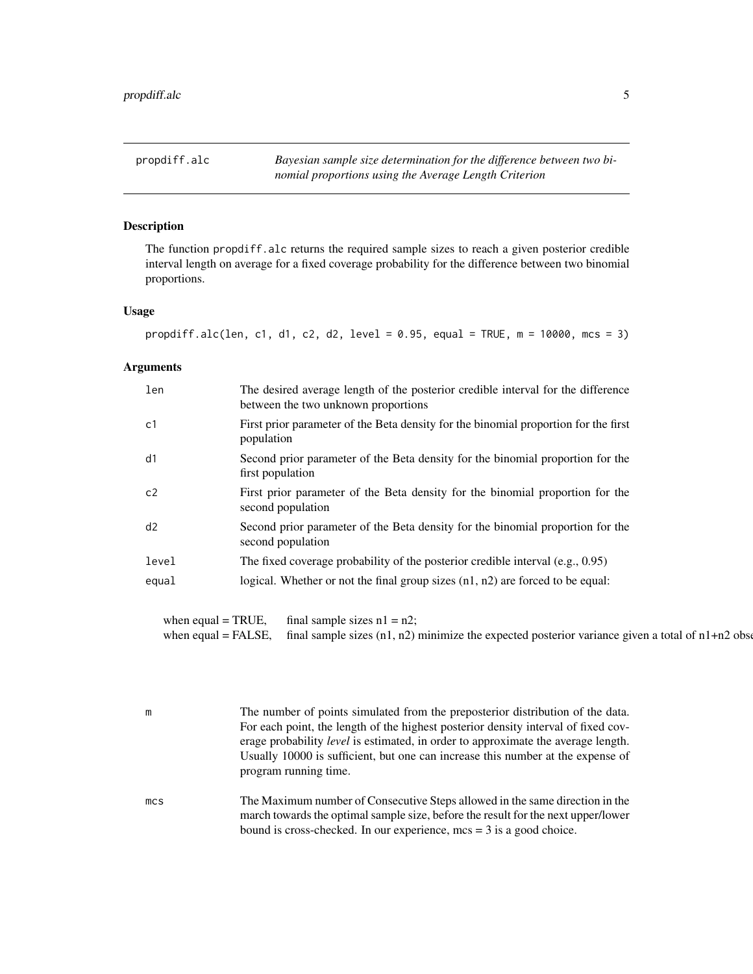# <span id="page-4-1"></span><span id="page-4-0"></span>Description

The function propdiff.alc returns the required sample sizes to reach a given posterior credible interval length on average for a fixed coverage probability for the difference between two binomial proportions.

#### Usage

```
propdiff.alc(len, c1, d1, c2, d2, level = 0.95, equal = TRUE, m = 10000, mcs = 3)
```
#### Arguments

| len   | The desired average length of the posterior credible interval for the difference<br>between the two unknown proportions |
|-------|-------------------------------------------------------------------------------------------------------------------------|
| c1    | First prior parameter of the Beta density for the binomial proportion for the first<br>population                       |
| d1    | Second prior parameter of the Beta density for the binomial proportion for the<br>first population                      |
| c2    | First prior parameter of the Beta density for the binomial proportion for the<br>second population                      |
| d2    | Second prior parameter of the Beta density for the binomial proportion for the<br>second population                     |
| level | The fixed coverage probability of the posterior credible interval $(e.g., 0.95)$                                        |
| equal | logical. Whether or not the final group sizes $(n1, n2)$ are forced to be equal:                                        |

when equal = TRUE, final sample sizes  $n1 = n2$ ; when equal = FALSE, final sample sizes  $(n1, n2)$  minimize the expected posterior variance given a total of  $n1+n2$  observations

m The number of points simulated from the preposterior distribution of the data. For each point, the length of the highest posterior density interval of fixed coverage probability *level* is estimated, in order to approximate the average length. Usually 10000 is sufficient, but one can increase this number at the expense of program running time.

mcs The Maximum number of Consecutive Steps allowed in the same direction in the march towards the optimal sample size, before the result for the next upper/lower bound is cross-checked. In our experience, mcs = 3 is a good choice.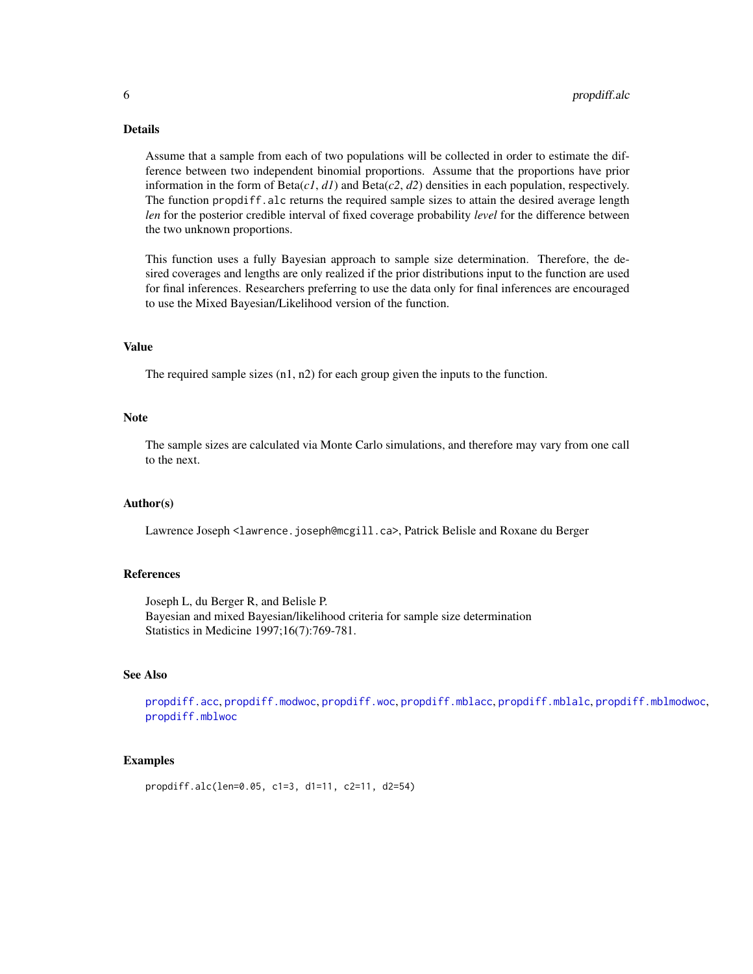# <span id="page-5-0"></span>Details

Assume that a sample from each of two populations will be collected in order to estimate the difference between two independent binomial proportions. Assume that the proportions have prior information in the form of  $Beta(c1, d1)$  and  $Beta(c2, d2)$  densities in each population, respectively. The function propdiff.alc returns the required sample sizes to attain the desired average length *len* for the posterior credible interval of fixed coverage probability *level* for the difference between the two unknown proportions.

This function uses a fully Bayesian approach to sample size determination. Therefore, the desired coverages and lengths are only realized if the prior distributions input to the function are used for final inferences. Researchers preferring to use the data only for final inferences are encouraged to use the Mixed Bayesian/Likelihood version of the function.

#### Value

The required sample sizes (n1, n2) for each group given the inputs to the function.

#### Note

The sample sizes are calculated via Monte Carlo simulations, and therefore may vary from one call to the next.

#### Author(s)

Lawrence Joseph <lawrence.joseph@mcgill.ca>, Patrick Belisle and Roxane du Berger

# References

Joseph L, du Berger R, and Belisle P. Bayesian and mixed Bayesian/likelihood criteria for sample size determination Statistics in Medicine 1997;16(7):769-781.

#### See Also

[propdiff.acc](#page-2-1), [propdiff.modwoc](#page-14-1), [propdiff.woc](#page-15-1), [propdiff.mblacc](#page-7-1), [propdiff.mblalc](#page-9-1), [propdiff.mblmodwoc](#page-10-1), [propdiff.mblwoc](#page-12-1)

```
propdiff.alc(len=0.05, c1=3, d1=11, c2=11, d2=54)
```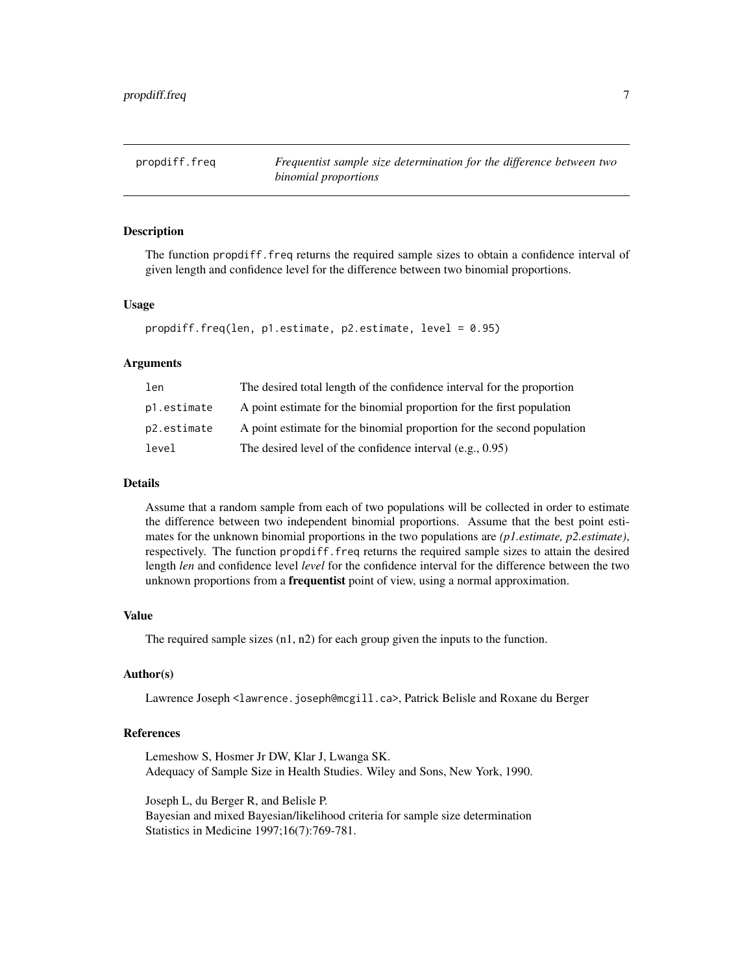<span id="page-6-0"></span>

# **Description**

The function propdiff. freq returns the required sample sizes to obtain a confidence interval of given length and confidence level for the difference between two binomial proportions.

#### Usage

```
propdiff.freq(len, p1.estimate, p2.estimate, level = 0.95)
```
# Arguments

| len         | The desired total length of the confidence interval for the proportion |
|-------------|------------------------------------------------------------------------|
| p1.estimate | A point estimate for the binomial proportion for the first population  |
| p2.estimate | A point estimate for the binomial proportion for the second population |
| level       | The desired level of the confidence interval $(e.g., 0.95)$            |

#### Details

Assume that a random sample from each of two populations will be collected in order to estimate the difference between two independent binomial proportions. Assume that the best point estimates for the unknown binomial proportions in the two populations are *(p1.estimate, p2.estimate)*, respectively. The function propdiff.freq returns the required sample sizes to attain the desired length *len* and confidence level *level* for the confidence interval for the difference between the two unknown proportions from a **frequentist** point of view, using a normal approximation.

# Value

The required sample sizes (n1, n2) for each group given the inputs to the function.

# Author(s)

Lawrence Joseph <lawrence.joseph@mcgill.ca>, Patrick Belisle and Roxane du Berger

#### References

Lemeshow S, Hosmer Jr DW, Klar J, Lwanga SK. Adequacy of Sample Size in Health Studies. Wiley and Sons, New York, 1990.

Joseph L, du Berger R, and Belisle P. Bayesian and mixed Bayesian/likelihood criteria for sample size determination Statistics in Medicine 1997;16(7):769-781.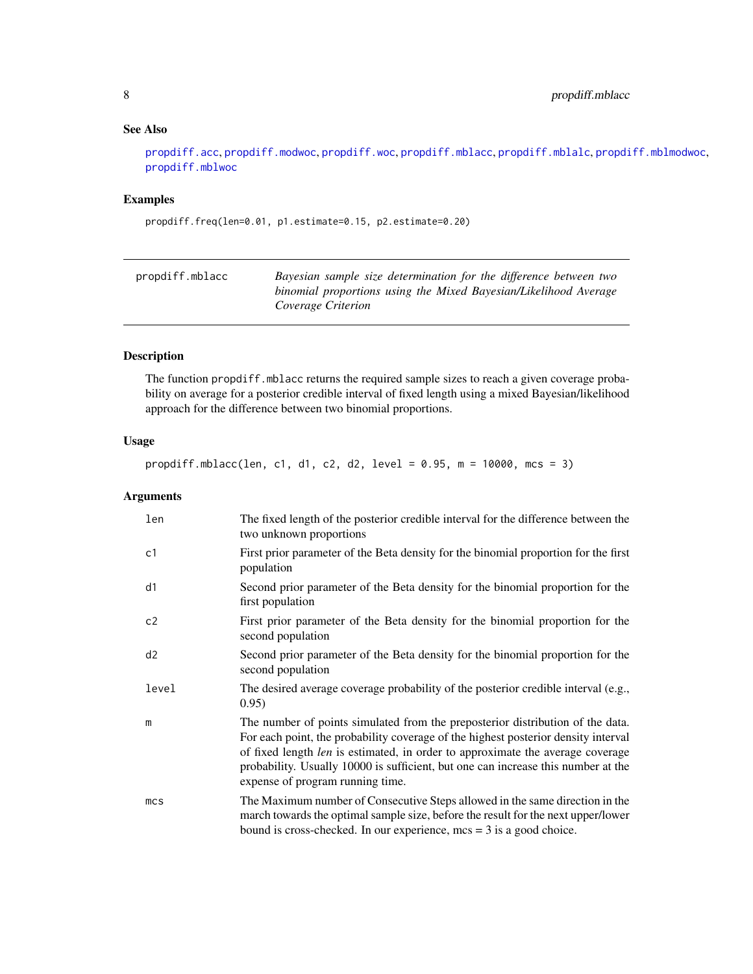# <span id="page-7-0"></span>See Also

[propdiff.acc](#page-2-1), [propdiff.modwoc](#page-14-1), [propdiff.woc](#page-15-1), [propdiff.mblacc](#page-7-1), [propdiff.mblalc](#page-9-1), [propdiff.mblmodwoc](#page-10-1), [propdiff.mblwoc](#page-12-1)

# Examples

propdiff.freq(len=0.01, p1.estimate=0.15, p2.estimate=0.20)

<span id="page-7-1"></span>

| propdiff.mblacc | Bayesian sample size determination for the difference between two                      |
|-----------------|----------------------------------------------------------------------------------------|
|                 | binomial proportions using the Mixed Bayesian/Likelihood Average<br>Coverage Criterion |

# Description

The function propdiff.mblacc returns the required sample sizes to reach a given coverage probability on average for a posterior credible interval of fixed length using a mixed Bayesian/likelihood approach for the difference between two binomial proportions.

# Usage

propdiff.mblacc(len, c1, d1, c2, d2, level = 0.95, m = 10000, mcs = 3)

# Arguments

| len             | The fixed length of the posterior credible interval for the difference between the<br>two unknown proportions                                                                                                                                                                                                                                                                   |
|-----------------|---------------------------------------------------------------------------------------------------------------------------------------------------------------------------------------------------------------------------------------------------------------------------------------------------------------------------------------------------------------------------------|
| c1              | First prior parameter of the Beta density for the binomial proportion for the first<br>population                                                                                                                                                                                                                                                                               |
| d1              | Second prior parameter of the Beta density for the binomial proportion for the<br>first population                                                                                                                                                                                                                                                                              |
| c2              | First prior parameter of the Beta density for the binomial proportion for the<br>second population                                                                                                                                                                                                                                                                              |
| d2              | Second prior parameter of the Beta density for the binomial proportion for the<br>second population                                                                                                                                                                                                                                                                             |
| level           | The desired average coverage probability of the posterior credible interval (e.g.,<br>0.95)                                                                                                                                                                                                                                                                                     |
| m               | The number of points simulated from the preposterior distribution of the data.<br>For each point, the probability coverage of the highest posterior density interval<br>of fixed length len is estimated, in order to approximate the average coverage<br>probability. Usually 10000 is sufficient, but one can increase this number at the<br>expense of program running time. |
| mc <sub>S</sub> | The Maximum number of Consecutive Steps allowed in the same direction in the<br>march towards the optimal sample size, before the result for the next upper/lower<br>bound is cross-checked. In our experience, $mcs = 3$ is a good choice.                                                                                                                                     |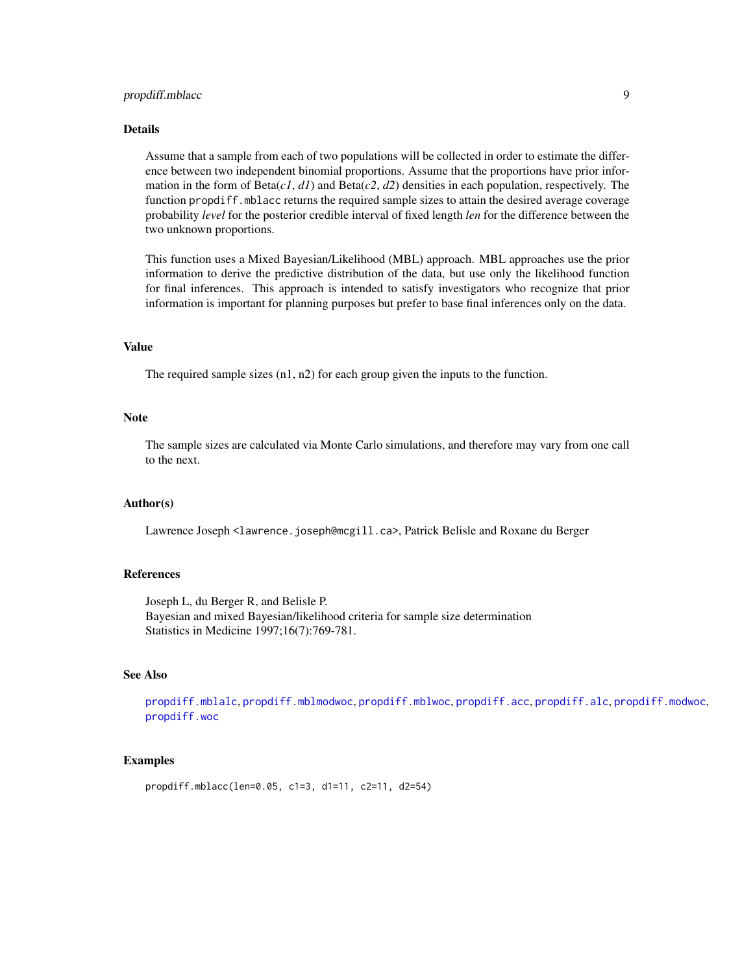# <span id="page-8-0"></span>propdiff.mblacc 9

# Details

Assume that a sample from each of two populations will be collected in order to estimate the difference between two independent binomial proportions. Assume that the proportions have prior information in the form of  $Beta(c1, d1)$  and  $Beta(c2, d2)$  densities in each population, respectively. The function propdiff.mblacc returns the required sample sizes to attain the desired average coverage probability *level* for the posterior credible interval of fixed length *len* for the difference between the two unknown proportions.

This function uses a Mixed Bayesian/Likelihood (MBL) approach. MBL approaches use the prior information to derive the predictive distribution of the data, but use only the likelihood function for final inferences. This approach is intended to satisfy investigators who recognize that prior information is important for planning purposes but prefer to base final inferences only on the data.

#### Value

The required sample sizes (n1, n2) for each group given the inputs to the function.

#### Note

The sample sizes are calculated via Monte Carlo simulations, and therefore may vary from one call to the next.

#### Author(s)

Lawrence Joseph <lawrence.joseph@mcgill.ca>, Patrick Belisle and Roxane du Berger

# References

Joseph L, du Berger R, and Belisle P. Bayesian and mixed Bayesian/likelihood criteria for sample size determination Statistics in Medicine 1997;16(7):769-781.

#### See Also

[propdiff.mblalc](#page-9-1), [propdiff.mblmodwoc](#page-10-1), [propdiff.mblwoc](#page-12-1), [propdiff.acc](#page-2-1), [propdiff.alc](#page-4-1), [propdiff.modwoc](#page-14-1), [propdiff.woc](#page-15-1)

```
propdiff.mblacc(len=0.05, c1=3, d1=11, c2=11, d2=54)
```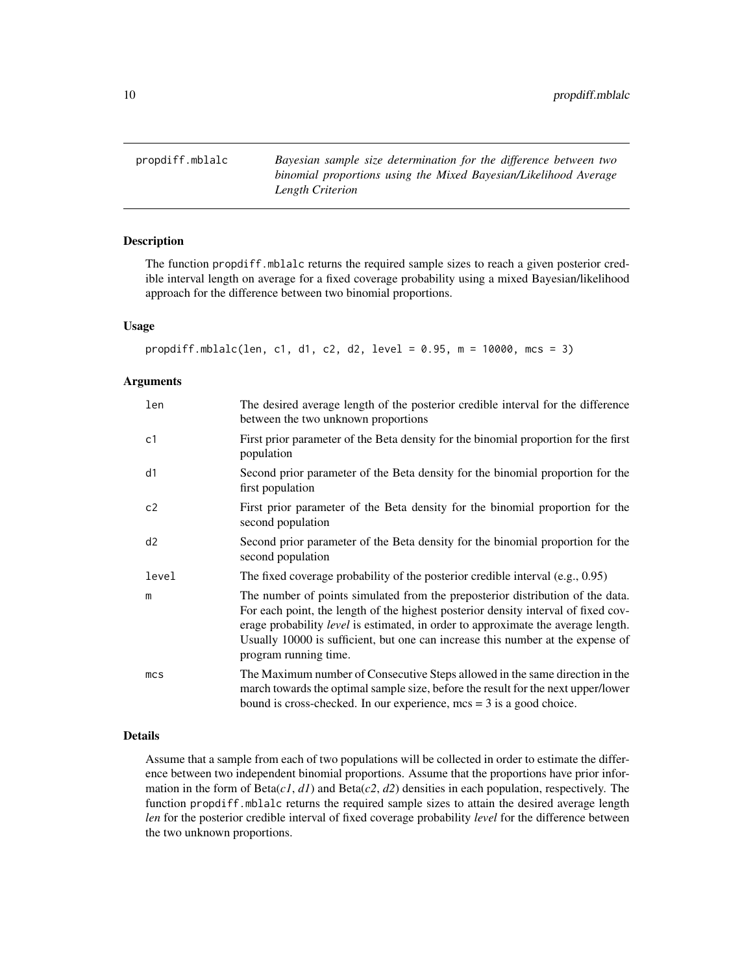<span id="page-9-1"></span><span id="page-9-0"></span>propdiff.mblalc *Bayesian sample size determination for the difference between two binomial proportions using the Mixed Bayesian/Likelihood Average Length Criterion*

# Description

The function propdiff.mblalc returns the required sample sizes to reach a given posterior credible interval length on average for a fixed coverage probability using a mixed Bayesian/likelihood approach for the difference between two binomial proportions.

# Usage

```
propdiff.mblalc(len, c1, d1, c2, d2, level = 0.95, m = 10000, mcs = 3)
```
#### Arguments

| len             | The desired average length of the posterior credible interval for the difference<br>between the two unknown proportions                                                                                                                                                                                                                                               |
|-----------------|-----------------------------------------------------------------------------------------------------------------------------------------------------------------------------------------------------------------------------------------------------------------------------------------------------------------------------------------------------------------------|
| c1              | First prior parameter of the Beta density for the binomial proportion for the first<br>population                                                                                                                                                                                                                                                                     |
| d1              | Second prior parameter of the Beta density for the binomial proportion for the<br>first population                                                                                                                                                                                                                                                                    |
| c2              | First prior parameter of the Beta density for the binomial proportion for the<br>second population                                                                                                                                                                                                                                                                    |
| d2              | Second prior parameter of the Beta density for the binomial proportion for the<br>second population                                                                                                                                                                                                                                                                   |
| level           | The fixed coverage probability of the posterior credible interval $(e.g., 0.95)$                                                                                                                                                                                                                                                                                      |
| m               | The number of points simulated from the preposterior distribution of the data.<br>For each point, the length of the highest posterior density interval of fixed cov-<br>erage probability level is estimated, in order to approximate the average length.<br>Usually 10000 is sufficient, but one can increase this number at the expense of<br>program running time. |
| mc <sub>S</sub> | The Maximum number of Consecutive Steps allowed in the same direction in the<br>march towards the optimal sample size, before the result for the next upper/lower<br>bound is cross-checked. In our experience, $mcs = 3$ is a good choice.                                                                                                                           |

# Details

Assume that a sample from each of two populations will be collected in order to estimate the difference between two independent binomial proportions. Assume that the proportions have prior information in the form of  $Beta(c1, d1)$  and  $Beta(c2, d2)$  densities in each population, respectively. The function propdiff.mblalc returns the required sample sizes to attain the desired average length *len* for the posterior credible interval of fixed coverage probability *level* for the difference between the two unknown proportions.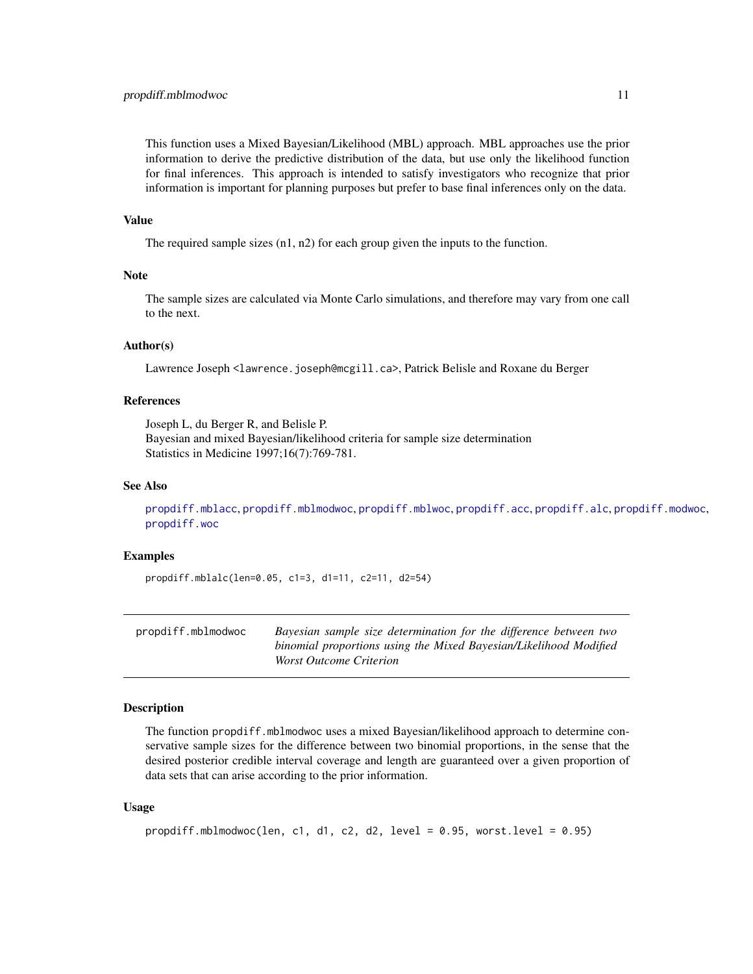<span id="page-10-0"></span>This function uses a Mixed Bayesian/Likelihood (MBL) approach. MBL approaches use the prior information to derive the predictive distribution of the data, but use only the likelihood function for final inferences. This approach is intended to satisfy investigators who recognize that prior information is important for planning purposes but prefer to base final inferences only on the data.

#### Value

The required sample sizes (n1, n2) for each group given the inputs to the function.

#### **Note**

The sample sizes are calculated via Monte Carlo simulations, and therefore may vary from one call to the next.

# Author(s)

Lawrence Joseph <lawrence.joseph@mcgill.ca>, Patrick Belisle and Roxane du Berger

# References

Joseph L, du Berger R, and Belisle P. Bayesian and mixed Bayesian/likelihood criteria for sample size determination Statistics in Medicine 1997;16(7):769-781.

#### See Also

[propdiff.mblacc](#page-7-1), [propdiff.mblmodwoc](#page-10-1), [propdiff.mblwoc](#page-12-1), [propdiff.acc](#page-2-1), [propdiff.alc](#page-4-1), [propdiff.modwoc](#page-14-1), [propdiff.woc](#page-15-1)

# Examples

propdiff.mblalc(len=0.05, c1=3, d1=11, c2=11, d2=54)

<span id="page-10-1"></span>

| propdiff.mblmodwoc | Bayesian sample size determination for the difference between two |
|--------------------|-------------------------------------------------------------------|
|                    | binomial proportions using the Mixed Bayesian/Likelihood Modified |
|                    | <i>Worst Outcome Criterion</i>                                    |

### Description

The function propdiff.mblmodwoc uses a mixed Bayesian/likelihood approach to determine conservative sample sizes for the difference between two binomial proportions, in the sense that the desired posterior credible interval coverage and length are guaranteed over a given proportion of data sets that can arise according to the prior information.

#### Usage

```
propdiff.mblmodwoc(len, c1, d1, c2, d2, level = 0.95, worst.level = 0.95)
```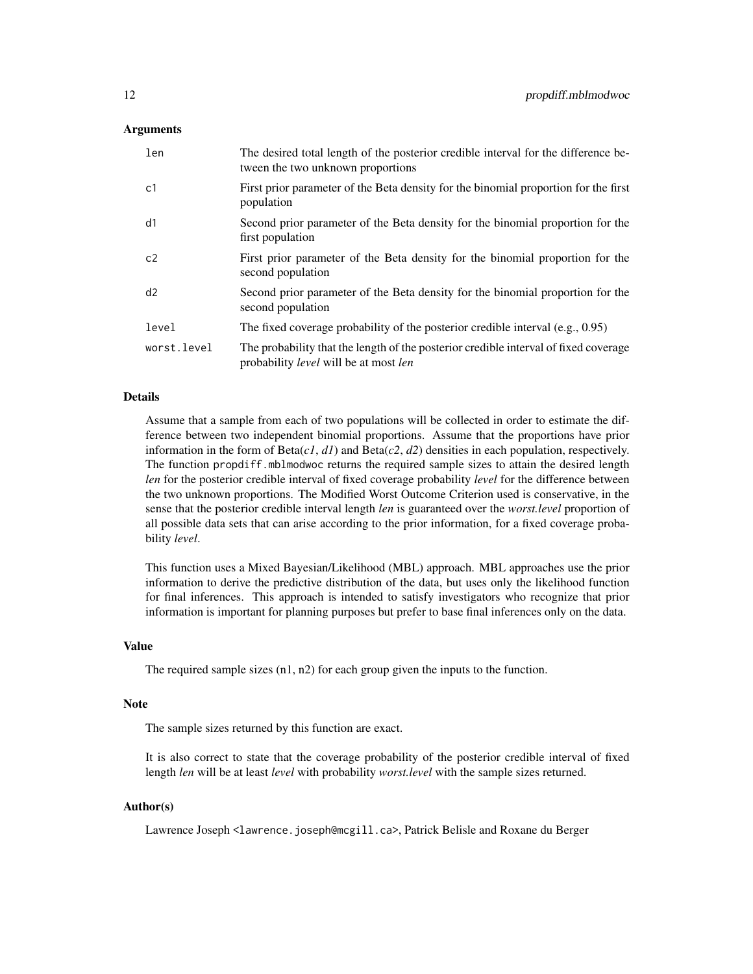# Arguments

| len         | The desired total length of the posterior credible interval for the difference be-<br>tween the two unknown proportions                     |
|-------------|---------------------------------------------------------------------------------------------------------------------------------------------|
| c1          | First prior parameter of the Beta density for the binomial proportion for the first<br>population                                           |
| d1          | Second prior parameter of the Beta density for the binomial proportion for the<br>first population                                          |
| c2          | First prior parameter of the Beta density for the binomial proportion for the<br>second population                                          |
| d2          | Second prior parameter of the Beta density for the binomial proportion for the<br>second population                                         |
| level       | The fixed coverage probability of the posterior credible interval $(e.g., 0.95)$                                                            |
| worst.level | The probability that the length of the posterior credible interval of fixed coverage<br>probability <i>level</i> will be at most <i>len</i> |

#### Details

Assume that a sample from each of two populations will be collected in order to estimate the difference between two independent binomial proportions. Assume that the proportions have prior information in the form of Beta(*c1*, *d1*) and Beta(*c2*, *d2*) densities in each population, respectively. The function propdiff.mblmodwoc returns the required sample sizes to attain the desired length *len* for the posterior credible interval of fixed coverage probability *level* for the difference between the two unknown proportions. The Modified Worst Outcome Criterion used is conservative, in the sense that the posterior credible interval length *len* is guaranteed over the *worst.level* proportion of all possible data sets that can arise according to the prior information, for a fixed coverage probability *level*.

This function uses a Mixed Bayesian/Likelihood (MBL) approach. MBL approaches use the prior information to derive the predictive distribution of the data, but uses only the likelihood function for final inferences. This approach is intended to satisfy investigators who recognize that prior information is important for planning purposes but prefer to base final inferences only on the data.

#### Value

The required sample sizes (n1, n2) for each group given the inputs to the function.

#### Note

The sample sizes returned by this function are exact.

It is also correct to state that the coverage probability of the posterior credible interval of fixed length *len* will be at least *level* with probability *worst.level* with the sample sizes returned.

#### Author(s)

Lawrence Joseph <lawrence.joseph@mcgill.ca>, Patrick Belisle and Roxane du Berger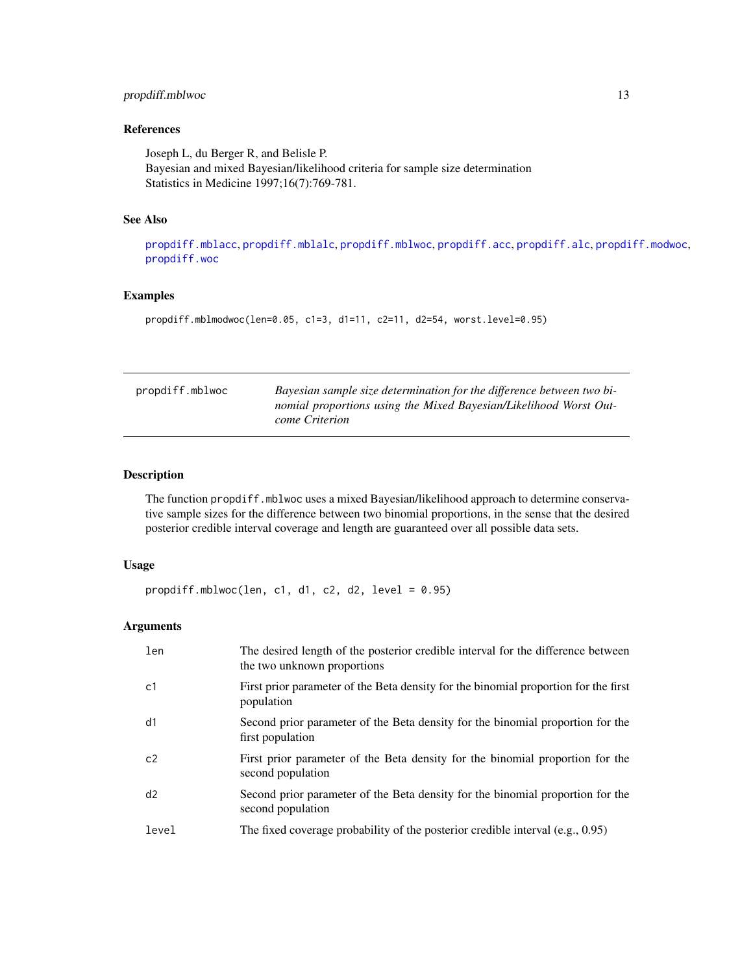# <span id="page-12-0"></span>propdiff.mblwoc 13

# References

Joseph L, du Berger R, and Belisle P. Bayesian and mixed Bayesian/likelihood criteria for sample size determination Statistics in Medicine 1997;16(7):769-781.

# See Also

[propdiff.mblacc](#page-7-1), [propdiff.mblalc](#page-9-1), [propdiff.mblwoc](#page-12-1), [propdiff.acc](#page-2-1), [propdiff.alc](#page-4-1), [propdiff.modwoc](#page-14-1), [propdiff.woc](#page-15-1)

#### Examples

propdiff.mblmodwoc(len=0.05, c1=3, d1=11, c2=11, d2=54, worst.level=0.95)

<span id="page-12-1"></span>

| propdiff.mblwoc | Bayesian sample size determination for the difference between two bi- |
|-----------------|-----------------------------------------------------------------------|
|                 | nomial proportions using the Mixed Bayesian/Likelihood Worst Out-     |
|                 | come Criterion                                                        |

# Description

The function propdiff.mblwoc uses a mixed Bayesian/likelihood approach to determine conservative sample sizes for the difference between two binomial proportions, in the sense that the desired posterior credible interval coverage and length are guaranteed over all possible data sets.

#### Usage

propdiff.mblwoc(len, c1, d1, c2, d2, level =  $0.95$ )

# Arguments

| len            | The desired length of the posterior credible interval for the difference between<br>the two unknown proportions |
|----------------|-----------------------------------------------------------------------------------------------------------------|
| c1             | First prior parameter of the Beta density for the binomial proportion for the first<br>population               |
| d1             | Second prior parameter of the Beta density for the binomial proportion for the<br>first population              |
| C <sub>2</sub> | First prior parameter of the Beta density for the binomial proportion for the<br>second population              |
| d2             | Second prior parameter of the Beta density for the binomial proportion for the<br>second population             |
| level          | The fixed coverage probability of the posterior credible interval $(e.g., 0.95)$                                |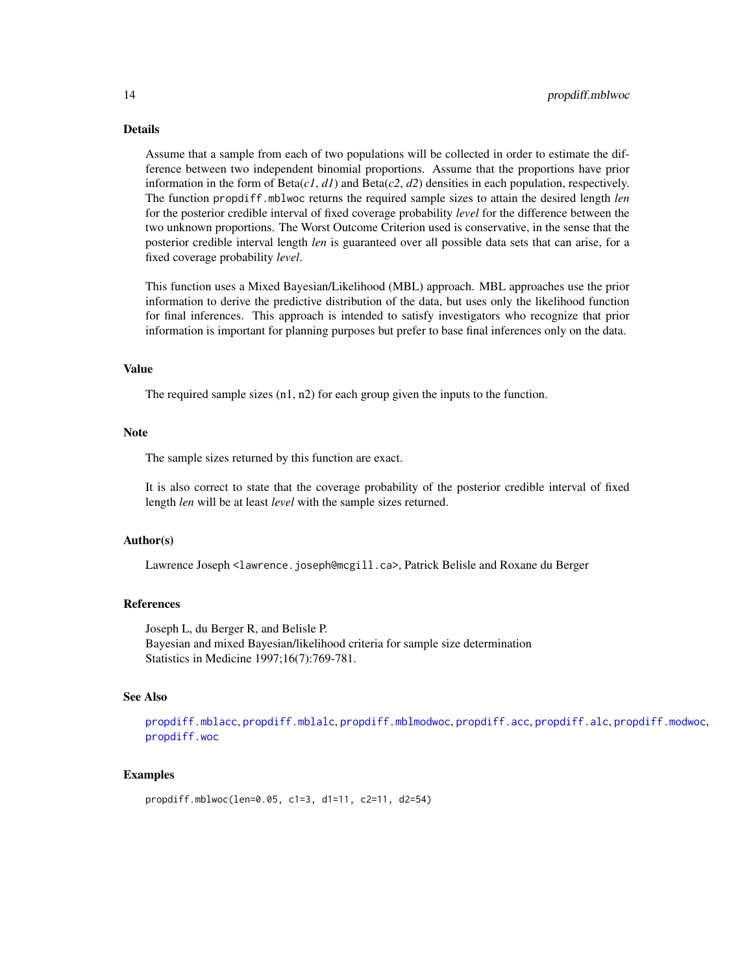#### <span id="page-13-0"></span>Details

Assume that a sample from each of two populations will be collected in order to estimate the difference between two independent binomial proportions. Assume that the proportions have prior information in the form of  $Beta(c1, d1)$  and  $Beta(c2, d2)$  densities in each population, respectively. The function propdiff.mblwoc returns the required sample sizes to attain the desired length *len* for the posterior credible interval of fixed coverage probability *level* for the difference between the two unknown proportions. The Worst Outcome Criterion used is conservative, in the sense that the posterior credible interval length *len* is guaranteed over all possible data sets that can arise, for a fixed coverage probability *level*.

This function uses a Mixed Bayesian/Likelihood (MBL) approach. MBL approaches use the prior information to derive the predictive distribution of the data, but uses only the likelihood function for final inferences. This approach is intended to satisfy investigators who recognize that prior information is important for planning purposes but prefer to base final inferences only on the data.

#### Value

The required sample sizes (n1, n2) for each group given the inputs to the function.

#### Note

The sample sizes returned by this function are exact.

It is also correct to state that the coverage probability of the posterior credible interval of fixed length *len* will be at least *level* with the sample sizes returned.

# Author(s)

Lawrence Joseph <lawrence.joseph@mcgill.ca>, Patrick Belisle and Roxane du Berger

#### References

Joseph L, du Berger R, and Belisle P. Bayesian and mixed Bayesian/likelihood criteria for sample size determination Statistics in Medicine 1997;16(7):769-781.

# See Also

[propdiff.mblacc](#page-7-1), [propdiff.mblalc](#page-9-1), [propdiff.mblmodwoc](#page-10-1), [propdiff.acc](#page-2-1), [propdiff.alc](#page-4-1), [propdiff.modwoc](#page-14-1), [propdiff.woc](#page-15-1)

```
propdiff.mblwoc(len=0.05, c1=3, d1=11, c2=11, d2=54)
```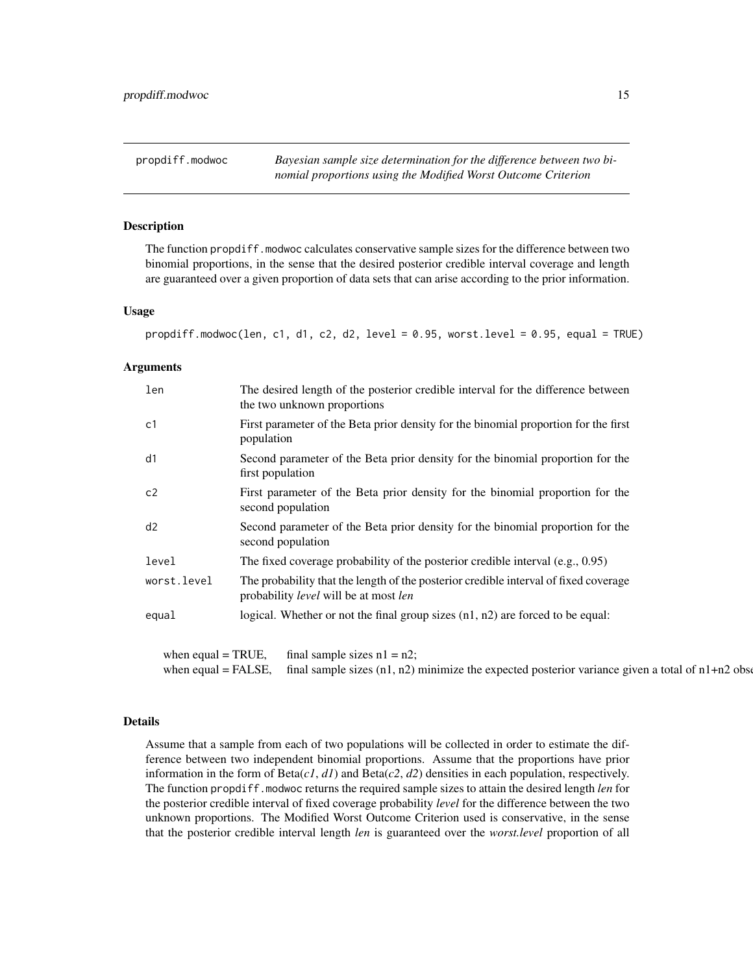<span id="page-14-1"></span><span id="page-14-0"></span>propdiff.modwoc *Bayesian sample size determination for the difference between two binomial proportions using the Modified Worst Outcome Criterion*

#### Description

The function propdiff.modwoc calculates conservative sample sizes for the difference between two binomial proportions, in the sense that the desired posterior credible interval coverage and length are guaranteed over a given proportion of data sets that can arise according to the prior information.

#### Usage

```
propdiff.modwoc(len, c1, d1, c2, d2, level = 0.95, worst.level = 0.95, equal = TRUE)
```
#### Arguments

| len         | The desired length of the posterior credible interval for the difference between<br>the two unknown proportions                             |
|-------------|---------------------------------------------------------------------------------------------------------------------------------------------|
| c1          | First parameter of the Beta prior density for the binomial proportion for the first<br>population                                           |
| d1          | Second parameter of the Beta prior density for the binomial proportion for the<br>first population                                          |
| c2          | First parameter of the Beta prior density for the binomial proportion for the<br>second population                                          |
| d2          | Second parameter of the Beta prior density for the binomial proportion for the<br>second population                                         |
| level       | The fixed coverage probability of the posterior credible interval $(e.g., 0.95)$                                                            |
| worst.level | The probability that the length of the posterior credible interval of fixed coverage<br>probability <i>level</i> will be at most <i>len</i> |
| equal       | logical. Whether or not the final group sizes $(n1, n2)$ are forced to be equal:                                                            |

when equal = TRUE, final sample sizes  $n1 = n2$ ; when equal = FALSE, final sample sizes  $(n1, n2)$  minimize the expected posterior variance given a total of  $n1+n2$  observations

#### Details

Assume that a sample from each of two populations will be collected in order to estimate the difference between two independent binomial proportions. Assume that the proportions have prior information in the form of  $Beta(c1, d1)$  and  $Beta(c2, d2)$  densities in each population, respectively. The function propdiff.modwoc returns the required sample sizes to attain the desired length *len* for the posterior credible interval of fixed coverage probability *level* for the difference between the two unknown proportions. The Modified Worst Outcome Criterion used is conservative, in the sense that the posterior credible interval length *len* is guaranteed over the *worst.level* proportion of all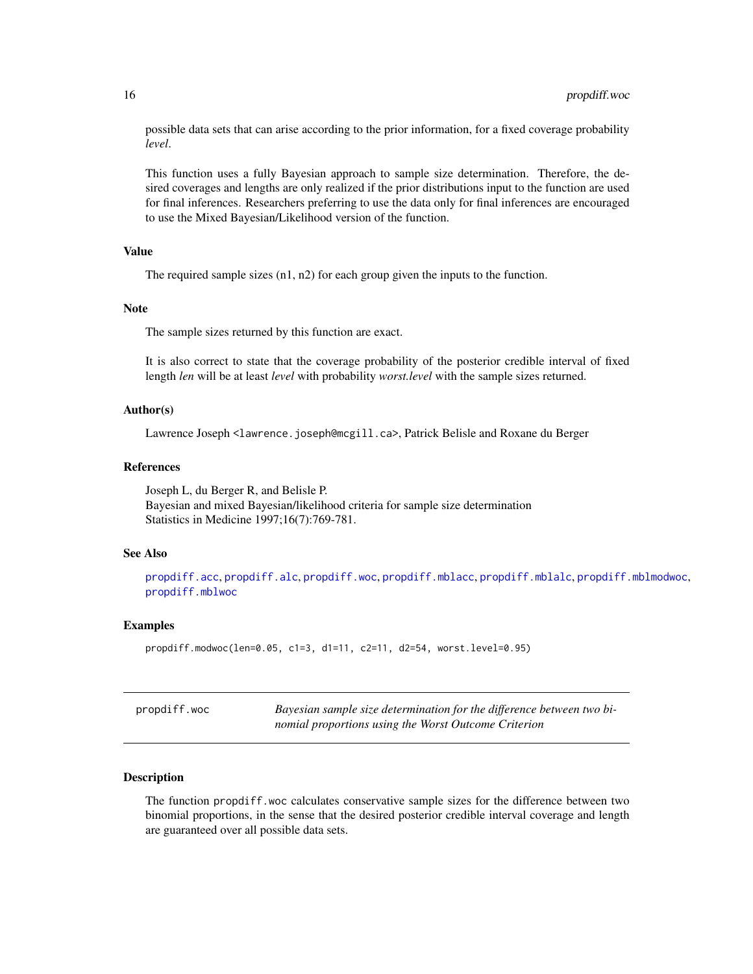<span id="page-15-0"></span>possible data sets that can arise according to the prior information, for a fixed coverage probability *level*.

This function uses a fully Bayesian approach to sample size determination. Therefore, the desired coverages and lengths are only realized if the prior distributions input to the function are used for final inferences. Researchers preferring to use the data only for final inferences are encouraged to use the Mixed Bayesian/Likelihood version of the function.

# Value

The required sample sizes  $(n1, n2)$  for each group given the inputs to the function.

#### **Note**

The sample sizes returned by this function are exact.

It is also correct to state that the coverage probability of the posterior credible interval of fixed length *len* will be at least *level* with probability *worst.level* with the sample sizes returned.

# Author(s)

Lawrence Joseph <lawrence.joseph@mcgill.ca>, Patrick Belisle and Roxane du Berger

#### References

Joseph L, du Berger R, and Belisle P. Bayesian and mixed Bayesian/likelihood criteria for sample size determination Statistics in Medicine 1997;16(7):769-781.

# See Also

[propdiff.acc](#page-2-1), [propdiff.alc](#page-4-1), [propdiff.woc](#page-15-1), [propdiff.mblacc](#page-7-1), [propdiff.mblalc](#page-9-1), [propdiff.mblmodwoc](#page-10-1), [propdiff.mblwoc](#page-12-1)

#### Examples

```
propdiff.modwoc(len=0.05, c1=3, d1=11, c2=11, d2=54, worst.level=0.95)
```
<span id="page-15-1"></span>

| propdiff.woc | Bayesian sample size determination for the difference between two bi- |
|--------------|-----------------------------------------------------------------------|
|              | nomial proportions using the Worst Outcome Criterion                  |

#### Description

The function propdiff.woc calculates conservative sample sizes for the difference between two binomial proportions, in the sense that the desired posterior credible interval coverage and length are guaranteed over all possible data sets.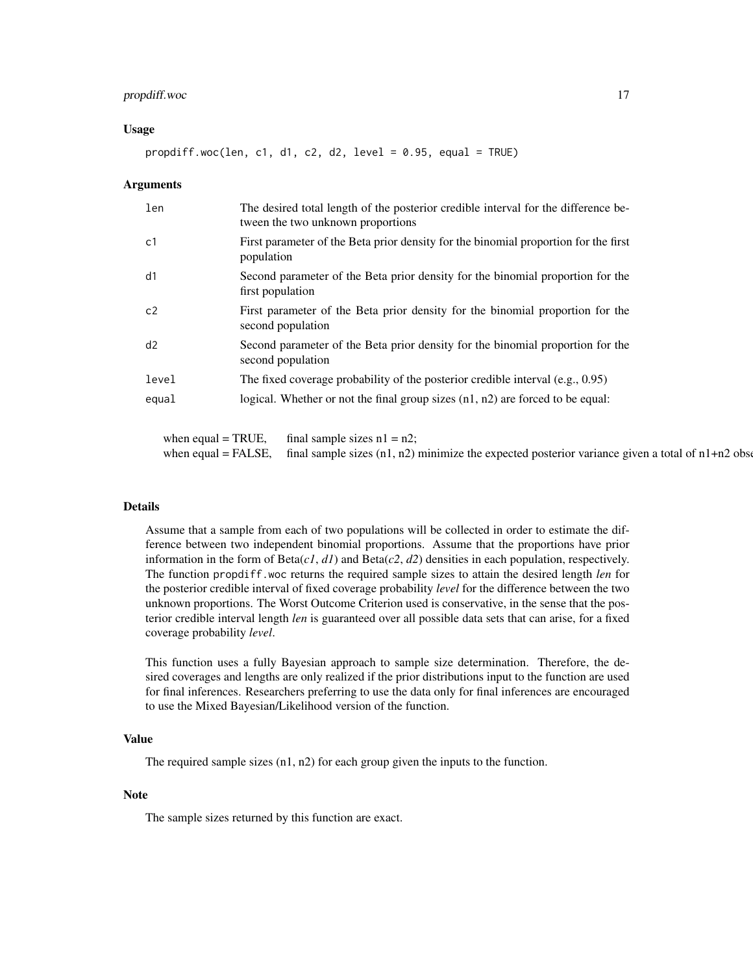# propdiff.woc 17

#### Usage

propdiff.woc(len, c1, d1, c2, d2, level = 0.95, equal = TRUE)

#### Arguments

| len   | The desired total length of the posterior credible interval for the difference be-<br>tween the two unknown proportions |
|-------|-------------------------------------------------------------------------------------------------------------------------|
| c1    | First parameter of the Beta prior density for the binomial proportion for the first<br>population                       |
| d1    | Second parameter of the Beta prior density for the binomial proportion for the<br>first population                      |
| c2    | First parameter of the Beta prior density for the binomial proportion for the<br>second population                      |
| d2    | Second parameter of the Beta prior density for the binomial proportion for the<br>second population                     |
| level | The fixed coverage probability of the posterior credible interval $(e.g., 0.95)$                                        |
| equal | logical. Whether or not the final group sizes $(n1, n2)$ are forced to be equal:                                        |

when equal = TRUE, final sample sizes  $n1 = n2$ ; when equal = FALSE, final sample sizes  $(n1, n2)$  minimize the expected posterior variance given a total of  $n1+n2$  observations

# Details

Assume that a sample from each of two populations will be collected in order to estimate the difference between two independent binomial proportions. Assume that the proportions have prior information in the form of  $Beta(c1, d1)$  and  $Beta(c2, d2)$  densities in each population, respectively. The function propdiff.woc returns the required sample sizes to attain the desired length *len* for the posterior credible interval of fixed coverage probability *level* for the difference between the two unknown proportions. The Worst Outcome Criterion used is conservative, in the sense that the posterior credible interval length *len* is guaranteed over all possible data sets that can arise, for a fixed coverage probability *level*.

This function uses a fully Bayesian approach to sample size determination. Therefore, the desired coverages and lengths are only realized if the prior distributions input to the function are used for final inferences. Researchers preferring to use the data only for final inferences are encouraged to use the Mixed Bayesian/Likelihood version of the function.

### Value

The required sample sizes (n1, n2) for each group given the inputs to the function.

#### Note

The sample sizes returned by this function are exact.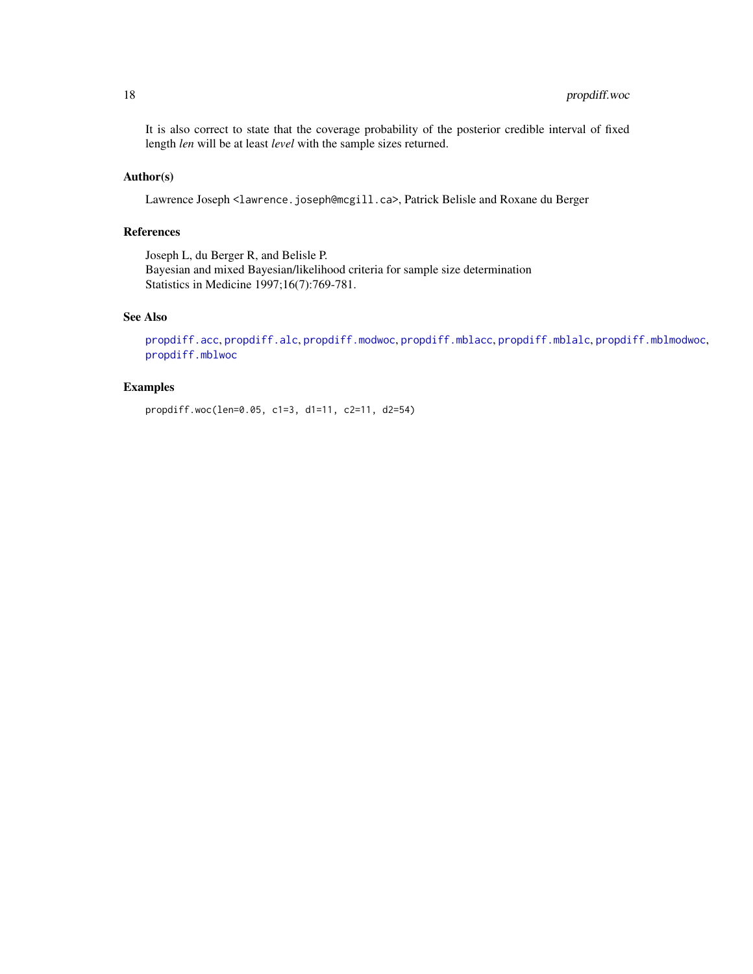<span id="page-17-0"></span>It is also correct to state that the coverage probability of the posterior credible interval of fixed length *len* will be at least *level* with the sample sizes returned.

# Author(s)

Lawrence Joseph <lawrence.joseph@mcgill.ca>, Patrick Belisle and Roxane du Berger

# References

Joseph L, du Berger R, and Belisle P. Bayesian and mixed Bayesian/likelihood criteria for sample size determination Statistics in Medicine 1997;16(7):769-781.

# See Also

[propdiff.acc](#page-2-1), [propdiff.alc](#page-4-1), [propdiff.modwoc](#page-14-1), [propdiff.mblacc](#page-7-1), [propdiff.mblalc](#page-9-1), [propdiff.mblmodwoc](#page-10-1), [propdiff.mblwoc](#page-12-1)

# Examples

propdiff.woc(len=0.05, c1=3, d1=11, c2=11, d2=54)